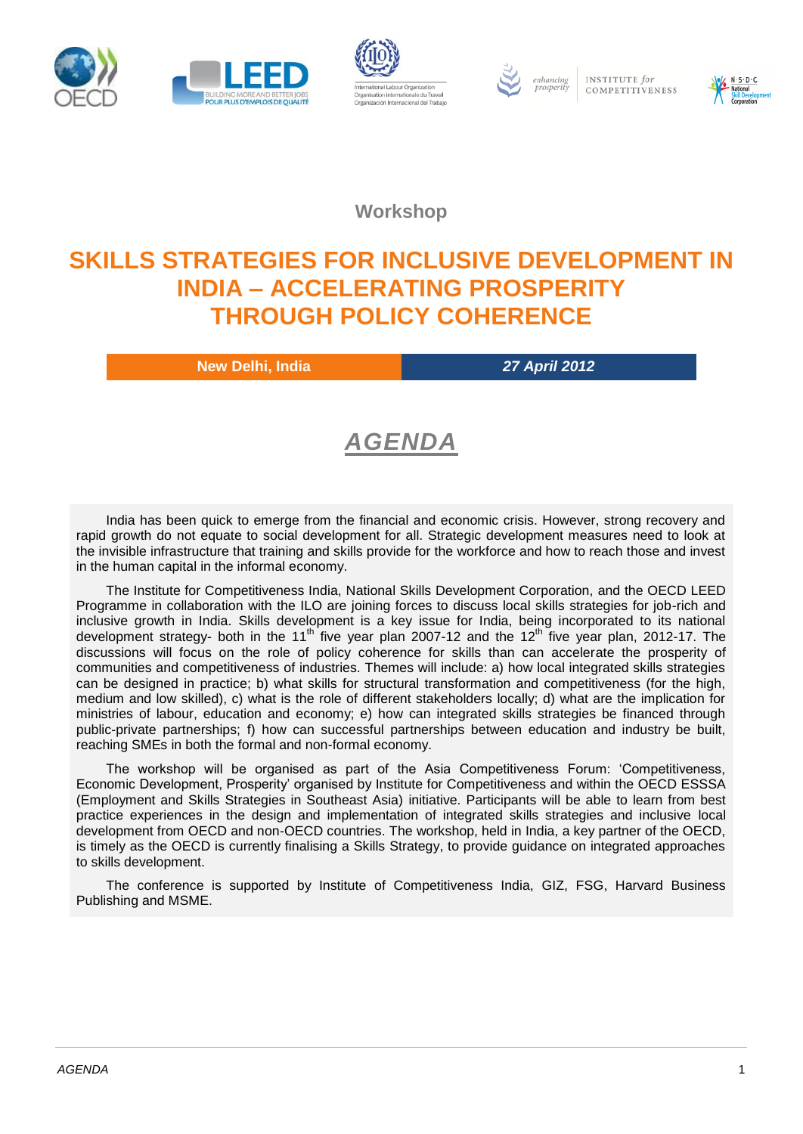





INSTITUTE for COMPETITIVENESS



**Workshop**

## **SKILLS STRATEGIES FOR INCLUSIVE DEVELOPMENT IN INDIA – ACCELERATING PROSPERITY THROUGH POLICY COHERENCE**

**New Delhi, India** *27 April 2012*

# *AGENDA*

India has been quick to emerge from the financial and economic crisis. However, strong recovery and rapid growth do not equate to social development for all. Strategic development measures need to look at the invisible infrastructure that training and skills provide for the workforce and how to reach those and invest in the human capital in the informal economy.

The Institute for Competitiveness India, National Skills Development Corporation, and the OECD LEED Programme in collaboration with the ILO are joining forces to discuss local skills strategies for job-rich and inclusive growth in India. Skills development is a key issue for India, being incorporated to its national development strategy- both in the 11<sup>th</sup> five year plan 2007-12 and the 12<sup>th</sup> five year plan, 2012-17. The discussions will focus on the role of policy coherence for skills than can accelerate the prosperity of communities and competitiveness of industries. Themes will include: a) how local integrated skills strategies can be designed in practice; b) what skills for structural transformation and competitiveness (for the high, medium and low skilled), c) what is the role of different stakeholders locally; d) what are the implication for ministries of labour, education and economy; e) how can integrated skills strategies be financed through public-private partnerships; f) how can successful partnerships between education and industry be built, reaching SMEs in both the formal and non-formal economy.

The workshop will be organised as part of the Asia Competitiveness Forum: 'Competitiveness, Economic Development, Prosperity' organised by Institute for Competitiveness and within the OECD ESSSA (Employment and Skills Strategies in Southeast Asia) initiative. Participants will be able to learn from best practice experiences in the design and implementation of integrated skills strategies and inclusive local development from OECD and non-OECD countries. The workshop, held in India, a key partner of the OECD, is timely as the OECD is currently finalising a Skills Strategy, to provide guidance on integrated approaches to skills development.

The conference is supported by Institute of Competitiveness India, GIZ, FSG, Harvard Business Publishing and MSME.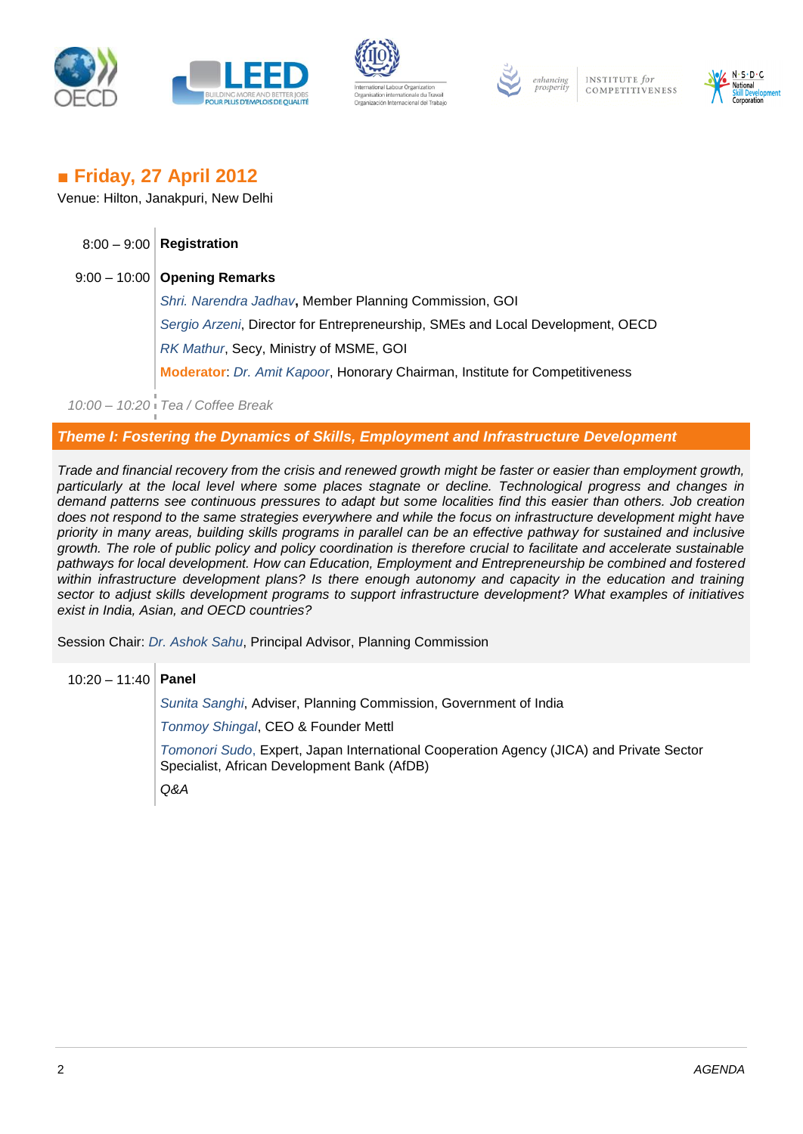





INSTITUTE for COMPETITIVENESS



### *■* **Friday, 27 April 2012**

Venue: Hilton, Janakpuri, New Delhi

| $8:00 - 9:00$ Registration                                                     |
|--------------------------------------------------------------------------------|
| $9:00 - 10:00$ Opening Remarks                                                 |
| Shri. Narendra Jadhav, Member Planning Commission, GOI                         |
| Sergio Arzeni, Director for Entrepreneurship, SMEs and Local Development, OECD |
| RK Mathur, Secy, Ministry of MSME, GOI                                         |
| Moderator: Dr. Amit Kapoor, Honorary Chairman, Institute for Competitiveness   |

*10:00 – 10:20 Tea / Coffee Break*

#### *Theme I: Fostering the Dynamics of Skills, Employment and Infrastructure Development*

*Trade and financial recovery from the crisis and renewed growth might be faster or easier than employment growth, particularly at the local level where some places stagnate or decline. Technological progress and changes in demand patterns see continuous pressures to adapt but some localities find this easier than others. Job creation does not respond to the same strategies everywhere and while the focus on infrastructure development might have priority in many areas, building skills programs in parallel can be an effective pathway for sustained and inclusive growth. The role of public policy and policy coordination is therefore crucial to facilitate and accelerate sustainable pathways for local development. How can Education, Employment and Entrepreneurship be combined and fostered within infrastructure development plans? Is there enough autonomy and capacity in the education and training sector to adjust skills development programs to support infrastructure development? What examples of initiatives exist in India, Asian, and OECD countries?*

Session Chair: *Dr. Ashok Sahu*, Principal Advisor, Planning Commission

### 10:20 – 11:40 **Panel**

*Sunita Sanghi*, Adviser, Planning Commission, Government of India *Tonmoy Shingal*, CEO & Founder Mettl *Tomonori Sudo*, Expert, Japan International Cooperation Agency (JICA) and Private Sector Specialist, African Development Bank (AfDB) *Q&A*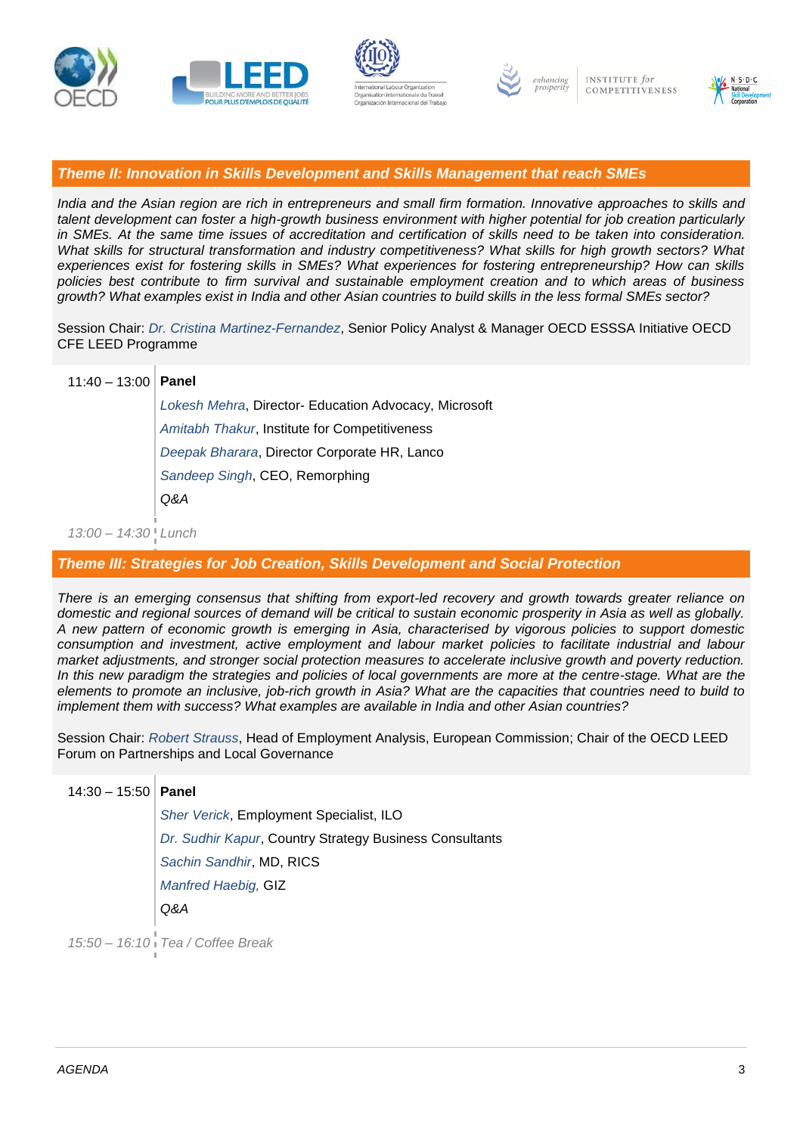







*Theme II: Innovation in Skills Development and Skills Management that reach SMEs*

*India and the Asian region are rich in entrepreneurs and small firm formation. Innovative approaches to skills and talent development can foster a high-growth business environment with higher potential for job creation particularly in SMEs. At the same time issues of accreditation and certification of skills need to be taken into consideration. What skills for structural transformation and industry competitiveness? What skills for high growth sectors? What experiences exist for fostering skills in SMEs? What experiences for fostering entrepreneurship? How can skills policies best contribute to firm survival and sustainable employment creation and to which areas of business growth? What examples exist in India and other Asian countries to build skills in the less formal SMEs sector?*

Session Chair: *Dr. Cristina Martinez-Fernandez*, Senior Policy Analyst & Manager OECD ESSSA Initiative OECD CFE LEED Programme

| $11:40 - 13:00$ Panel |                                                       |
|-----------------------|-------------------------------------------------------|
|                       | Lokesh Mehra, Director- Education Advocacy, Microsoft |
|                       | Amitabh Thakur, Institute for Competitiveness         |
|                       | Deepak Bharara, Director Corporate HR, Lanco          |
|                       | Sandeep Singh, CEO, Remorphing                        |
|                       | Q&A                                                   |
|                       |                                                       |

*13:00 – 14:30 Lunch*

*Theme III: Strategies for Job Creation, Skills Development and Social Protection*

*There is an emerging consensus that shifting from export-led recovery and growth towards greater reliance on domestic and regional sources of demand will be critical to sustain economic prosperity in Asia as well as globally. A new pattern of economic growth is emerging in Asia, characterised by vigorous policies to support domestic consumption and investment, active employment and labour market policies to facilitate industrial and labour market adjustments, and stronger social protection measures to accelerate inclusive growth and poverty reduction.*  In this new paradigm the strategies and policies of local governments are more at the centre-stage. What are the *elements to promote an inclusive, job-rich growth in Asia? What are the capacities that countries need to build to implement them with success? What examples are available in India and other Asian countries?*

Session Chair: *Robert Strauss*, Head of Employment Analysis, European Commission; Chair of the OECD LEED Forum on Partnerships and Local Governance

| $14:30 - 15:50$   Panel |                                                         |
|-------------------------|---------------------------------------------------------|
|                         | <b>Sher Verick, Employment Specialist, ILO</b>          |
|                         | Dr. Sudhir Kapur, Country Strategy Business Consultants |
|                         | Sachin Sandhir, MD, RICS                                |
|                         | <b>Manfred Haebig, GIZ</b>                              |
|                         | Q&A                                                     |
| 4E.E <sub>0</sub>       | $40.40$ Tag $/0$ offac Drook                            |